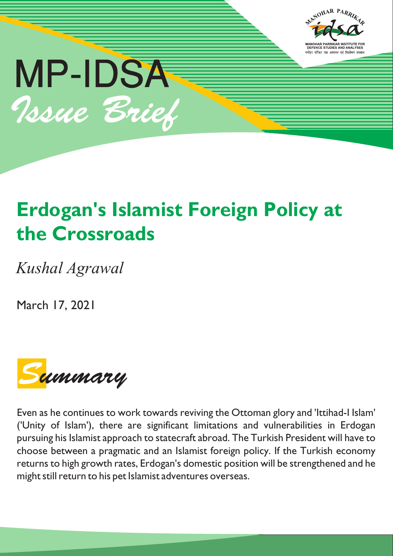



# **Erdogan's Islamist Foreign Policy at the Crossroads**

*Kushal Agrawal*

March 17, 2021



Even as he continues to work towards reviving the Ottoman glory and 'Ittihad-I Islam' ('Unity of Islam'), there are significant limitations and vulnerabilities in Erdogan pursuing his Islamist approach to statecraft abroad. The Turkish President will have to choose between a pragmatic and an Islamist foreign policy. If the Turkish economy returns to high growth rates, Erdogan's domestic position will be strengthened and he might still return to his pet Islamist adventures overseas.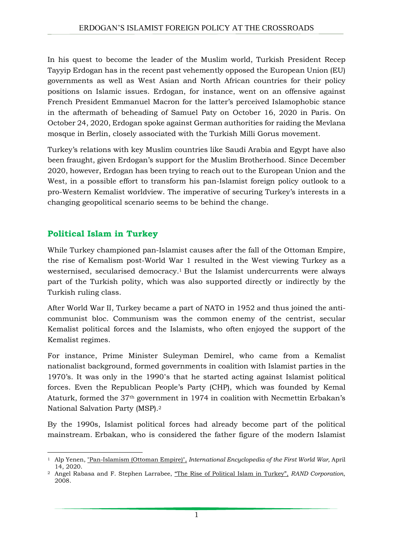In his quest to become the leader of the Muslim world, Turkish President Recep Tayyip Erdogan has in the recent past vehemently opposed the European Union (EU) governments as well as West Asian and North African countries for their policy positions on Islamic issues. Erdogan, for instance, went on an offensive against French President Emmanuel Macron for the latter's perceived Islamophobic stance in the aftermath of beheading of Samuel Paty on October 16, 2020 in Paris. On October 24, 2020, Erdogan spoke against German authorities for raiding the Mevlana mosque in Berlin, closely associated with the Turkish Milli Gorus movement.

Turkey's relations with key Muslim countries like Saudi Arabia and Egypt have also been fraught, given Erdogan's support for the Muslim Brotherhood. Since December 2020, however, Erdogan has been trying to reach out to the European Union and the West, in a possible effort to transform his pan-Islamist foreign policy outlook to a pro-Western Kemalist worldview. The imperative of securing Turkey's interests in a changing geopolitical scenario seems to be behind the change.

# **Political Islam in Turkey**

While Turkey championed pan-Islamist causes after the fall of the Ottoman Empire, the rise of Kemalism post-World War 1 resulted in the West viewing Turkey as a westernised, secularised democracy. <sup>1</sup> But the Islamist undercurrents were always part of the Turkish polity, which was also supported directly or indirectly by the Turkish ruling class.

After World War II, Turkey became a part of NATO in 1952 and thus joined the anticommunist bloc. Communism was the common enemy of the centrist, secular Kemalist political forces and the Islamists, who often enjoyed the support of the Kemalist regimes.

For instance, Prime Minister Suleyman Demirel, who came from a Kemalist nationalist background, formed governments in coalition with Islamist parties in the 1970's. It was only in the 1990's that he started acting against Islamist political forces. Even the Republican People's Party (CHP), which was founded by Kemal Ataturk, formed the 37th government in 1974 in coalition with Necmettin Erbakan's National Salvation Party (MSP).<sup>2</sup>

By the 1990s, Islamist political forces had already become part of the political mainstream. Erbakan, who is considered the father figure of the modern Islamist

<sup>1</sup> <sup>1</sup> Alp Yenen, ["Pan-Islamism](https://encyclopedia.1914-1918-online.net/article/pan-islamism_ottoman_empire) (Ottoman Empire)", *International Encyclopedia of the First World War,* April 14, 2020.

<sup>2</sup> Angel Rabasa and F. Stephen Larrabee, "The Rise of Political Islam in [Turkey",](https://www.rand.org/content/dam/rand/pubs/monographs/2008/RAND_MG726.pdf) *RAND Corporation*, 2008.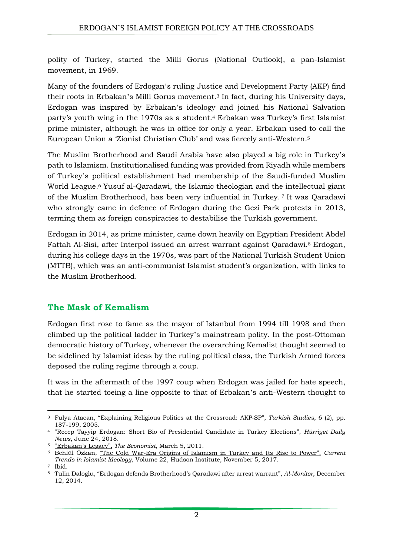polity of Turkey, started the Milli Gorus (National Outlook), a pan-Islamist movement, in 1969.

Many of the founders of Erdogan's ruling Justice and Development Party (AKP) find their roots in Erbakan's Milli Gorus movement.<sup>3</sup> In fact, during his University days, Erdogan was inspired by Erbakan's ideology and joined his National Salvation party's youth wing in the 1970s as a student.<sup>4</sup> Erbakan was Turkey's first Islamist prime minister, although he was in office for only a year. Erbakan used to call the European Union a 'Zionist Christian Club' and was fiercely anti-Western.<sup>5</sup>

The Muslim Brotherhood and Saudi Arabia have also played a big role in Turkey's path to Islamism. Institutionalised funding was provided from Riyadh while members of Turkey's political establishment had membership of the Saudi-funded Muslim World League. <sup>6</sup> Yusuf al-Qaradawi, the Islamic theologian and the intellectual giant of the Muslim Brotherhood, has been very influential in Turkey. <sup>7</sup> It was Qaradawi who strongly came in defence of Erdogan during the Gezi Park protests in 2013, terming them as foreign conspiracies to destabilise the Turkish government.

Erdogan in 2014, as prime minister, came down heavily on Egyptian President Abdel Fattah Al-Sisi, after Interpol issued an arrest warrant against Qaradawi.<sup>8</sup> Erdogan, during his college days in the 1970s, was part of the National Turkish Student Union (MTTB), which was an anti-communist Islamist student's organization, with links to the Muslim Brotherhood.

# **The Mask of Kemalism**

Erdogan first rose to fame as the mayor of Istanbul from 1994 till 1998 and then climbed up the political ladder in Turkey's mainstream polity. In the post-Ottoman democratic history of Turkey, whenever the overarching Kemalist thought seemed to be sidelined by Islamist ideas by the ruling political class, the Turkish Armed forces deposed the ruling regime through a coup.

It was in the aftermath of the 1997 coup when Erdogan was jailed for hate speech, that he started toeing a line opposite to that of Erbakan's anti-Western thought to

<sup>&</sup>lt;u>.</u> <sup>3</sup> Fulya Atacan, ["Explaining](https://www.tandfonline.com/doi/full/10.1080/14683840500119510?scroll=top&needAccess=true&#_i4) Religious Politics at the Crossroad: AKP‐SP", *Turkish Studies*, 6 (2), pp. 187-199, 2005.

<sup>4</sup> "Recep Tayyip Erdogan: Short Bio of [Presidential](https://www.hurriyetdailynews.com/recep-tayyip-erdogan-short-bio-of-presidential-candidate-in-turkey-elections-133710) Candidate in Turkey Elections", *Hürriyet Daily News*, June 24, 2018.

<sup>5</sup> ["Erbakan's](https://www.economist.com/europe/2011/03/03/erbakans-legacy) Legacy", *The Economist*, March 5, 2011.

<sup>6</sup> Behlül Özkan, "The Cold War-Era Origins of [Islamism](https://www.hudson.org/research/13807-the-cold-war-era-origins-of-islamism-in-turkey-and-its-rise-to-power) in Turkey and Its Rise to Power", *Current Trends in Islamist Ideology*, Volume 22, Hudson Institute, November 5, 2017.

<sup>7</sup> Ibid.

<sup>8</sup> Tulin Daloglu, "Erdogan defends [Brotherhood's](https://www.al-monitor.com/pulse/originals/2014/12/qaradawi-egypt-turkey-interpol-arrest-warrant-brotherhood.html) Qaradawi after arrest warrant", *Al-Monitor*, December 12, 2014.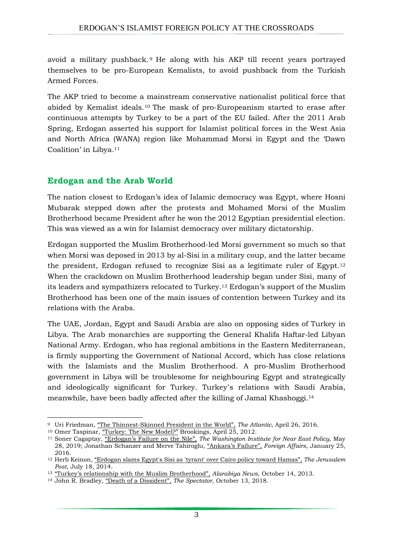avoid a military pushback. <sup>9</sup> He along with his AKP till recent years portrayed themselves to be pro-European Kemalists, to avoid pushback from the Turkish Armed Forces.

The AKP tried to become a mainstream conservative nationalist political force that abided by Kemalist ideals.<sup>10</sup> The mask of pro-Europeanism started to erase after continuous attempts by Turkey to be a part of the EU failed. After the 2011 Arab Spring, Erdogan asserted his support for Islamist political forces in the West Asia and North Africa (WANA) region like Mohammad Morsi in Egypt and the 'Dawn Coalition' in Libya. <sup>11</sup>

### **Erdogan and the Arab World**

The nation closest to Erdogan's idea of Islamic democracy was Egypt, where Hosni Mubarak stepped down after the protests and Mohamed Morsi of the Muslim Brotherhood became President after he won the 2012 Egyptian presidential election. This was viewed as a win for Islamist democracy over military dictatorship.

Erdogan supported the Muslim Brotherhood-led Morsi government so much so that when Morsi was deposed in 2013 by al-Sisi in a military coup, and the latter became the president, Erdogan refused to recognize Sisi as a legitimate ruler of Egypt.<sup>12</sup> When the crackdown on Muslim Brotherhood leadership began under Sisi, many of its leaders and sympathizers relocated to Turkey.<sup>13</sup> Erdogan's support of the Muslim Brotherhood has been one of the main issues of contention between Turkey and its relations with the Arabs.

The UAE, Jordan, Egypt and Saudi Arabia are also on opposing sides of Turkey in Libya. The Arab monarchies are supporting the General Khalifa Haftar-led Libyan National Army. Erdogan, who has regional ambitions in the Eastern Mediterranean, is firmly supporting the Government of National Accord, which has close relations with the Islamists and the Muslim Brotherhood. A pro-Muslim Brotherhood government in Libya will be troublesome for neighbouring Egypt and strategically and ideologically significant for Turkey. Turkey's relations with Saudi Arabia, meanwhile, have been badly affected after the killing of Jamal Khashoggi. 14

1

<sup>9</sup> Uri Friedman, "The [Thinnest-Skinned](https://www.theatlantic.com/international/archive/2016/04/turkey-germany-erdogan-bohmermann/479814/) President in the World", *The Atlantic*, April 26, 2016.

<sup>10</sup> Omer Taspinar, "Turkey: The New [Model?"](https://www.brookings.edu/research/turkey-the-new-model/) Brookings, April 25, 2012.

<sup>11</sup> Soner Cagaptay, ["Erdogan's](https://www.washingtoninstitute.org/policy-analysis/erdogans-failure-nile) Failure on the Nile", *The Washington Institute for Near East Policy*, May 28, 2019; Jonathan Schanzer and Merve Tahiroglu, ["Ankara's](https://www.foreignaffairs.com/articles/turkey/2016-01-25/ankaras-failure) Failure", *Foreign Affairs*, January 25, 2016.

<sup>12</sup> Herb Keinon, "[Erdogan](https://www.jpost.com/diplomacy-and-politics/amid-protests-and-erdogans-toxic-rhetoric-israel-brings-home-families-of-diplomats-in-turkey-363361) slams Egypt's Sisi as 'tyrant' over Cairo policy toward Hamas", *The Jerusalem Post*, July 18, 2014.

<sup>13</sup> "Turkey's relationship with the Muslim [Brotherhood",](https://english.alarabiya.net/features/2013/10/14/Turkey-s-relationship-with-the-Muslim-Brotherhood) *Alarabiya News*, October 14, 2013.

<sup>14</sup> John R. Bradley, "Death of a [Dissident](https://www.spectator.co.uk/article/death-of-a-dissident)", *The Spectator*, October 13, 2018.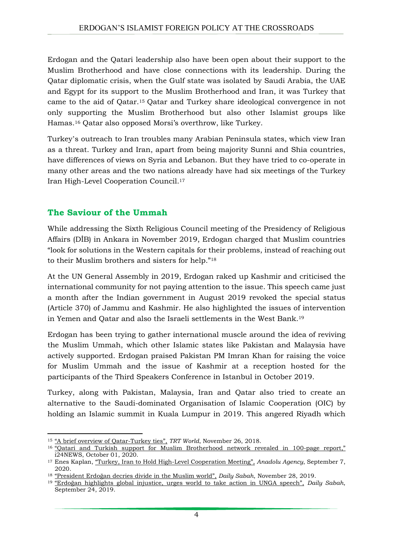Erdogan and the Qatari leadership also have been open about their support to the Muslim Brotherhood and have close connections with its leadership. During the Qatar diplomatic crisis, when the Gulf state was isolated by Saudi Arabia, the UAE and Egypt for its support to the Muslim Brotherhood and Iran, it was Turkey that came to the aid of Qatar.<sup>15</sup> Qatar and Turkey share ideological convergence in not only supporting the Muslim Brotherhood but also other Islamist groups like Hamas.<sup>16</sup> Qatar also opposed Morsi's overthrow, like Turkey.

Turkey's outreach to Iran troubles many Arabian Peninsula states, which view Iran as a threat. Turkey and Iran, apart from being majority Sunni and Shia countries, have differences of views on Syria and Lebanon. But they have tried to co-operate in many other areas and the two nations already have had six meetings of the Turkey Iran High-Level Cooperation Council.<sup>17</sup>

### **The Saviour of the Ummah**

While addressing the Sixth Religious Council meeting of the Presidency of Religious Affairs (DİB) in Ankara in November 2019, Erdogan charged that Muslim countries "look for solutions in the Western capitals for their problems, instead of reaching out to their Muslim brothers and sisters for help." 18

At the UN General Assembly in 2019, Erdogan raked up Kashmir and criticised the international community for not paying attention to the issue. This speech came just a month after the Indian government in August 2019 revoked the special status (Article 370) of Jammu and Kashmir. He also highlighted the issues of intervention in Yemen and Qatar and also the Israeli settlements in the West Bank.<sup>19</sup>

Erdogan has been trying to gather international muscle around the idea of reviving the Muslim Ummah, which other Islamic states like Pakistan and Malaysia have actively supported. Erdogan praised Pakistan PM Imran Khan for raising the voice for Muslim Ummah and the issue of Kashmir at a reception hosted for the participants of the Third Speakers Conference in Istanbul in October 2019.

Turkey, along with Pakistan, Malaysia, Iran and Qatar also tried to create an alternative to the Saudi-dominated Organisation of Islamic Cooperation (OIC) by holding an Islamic summit in Kuala Lumpur in 2019. This angered Riyadh which

<sup>1</sup> <sup>15</sup> "A brief overview of [Qatar-Turkey](https://www.trtworld.com/turkey/a-brief-overview-of-qatar-turkey-ties-21972) ties", *TRT World*, November 26, 2018.

<sup>&</sup>lt;sup>16</sup> "Qatari and Turkish support for Muslim [Brotherhood](https://www.i24news.tv/en/news/international/1601555388-one-hundred-page-report-exposes-qatari-and-turkish-support-for-muslim-brotherhood) network revealed in 100-page report," i24NEWS, October 01, 2020.

<sup>17</sup> Enes Kaplan, "Turkey, Iran to Hold High-Level [Cooperation](https://www.aa.com.tr/en/middle-east/turkey-iran-to-hold-high-level-cooperation-meeting/1965989) Meeting", *Anadolu Agency*, September 7, 2020.

<sup>18</sup> "[President](https://www.dailysabah.com/politics/2019/11/28/president-erdogan-decries-divide-in-the-muslim-world) Erdoğan decries divide in the Muslim world", *Daily Sabah*, November 28, 2019.

<sup>19</sup> "Erdoğan [highlights](https://www.dailysabah.com/politics/2019/09/24/erdogan-highlights-global-injustice-urges-world-to-take-action-in-unga-speech) global injustice, urges world to take action in UNGA speech", *Daily Sabah*, September 24, 2019.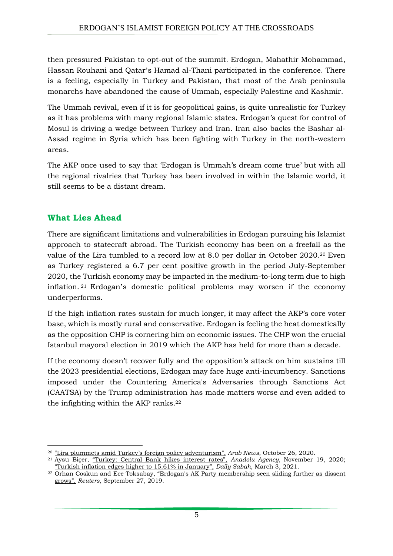then pressured Pakistan to opt-out of the summit. Erdogan, Mahathir Mohammad, Hassan Rouhani and Qatar's Hamad al-Thani participated in the conference. There is a feeling, especially in Turkey and Pakistan, that most of the Arab peninsula monarchs have abandoned the cause of Ummah, especially Palestine and Kashmir.

The Ummah revival, even if it is for geopolitical gains, is quite unrealistic for Turkey as it has problems with many regional Islamic states. Erdogan's quest for control of Mosul is driving a wedge between Turkey and Iran. Iran also backs the Bashar al-Assad regime in Syria which has been fighting with Turkey in the north-western areas.

The AKP once used to say that 'Erdogan is Ummah's dream come true' but with all the regional rivalries that Turkey has been involved in within the Islamic world, it still seems to be a distant dream.

#### **What Lies Ahead**

There are significant limitations and vulnerabilities in Erdogan pursuing his Islamist approach to statecraft abroad. The Turkish economy has been on a freefall as the value of the Lira tumbled to a record low at 8.0 per dollar in October 2020.<sup>20</sup> Even as Turkey registered a 6.7 per cent positive growth in the period July-September 2020, the Turkish economy may be impacted in the medium-to-long term due to high inflation. <sup>21</sup> Erdogan's domestic political problems may worsen if the economy underperforms.

If the high inflation rates sustain for much longer, it may affect the AKP's core voter base, which is mostly rural and conservative. Erdogan is feeling the heat domestically as the opposition CHP is cornering him on economic issues. The CHP won the crucial Istanbul mayoral election in 2019 which the AKP has held for more than a decade.

If the economy doesn't recover fully and the opposition's attack on him sustains till the 2023 presidential elections, Erdogan may face huge anti-incumbency. Sanctions imposed under the Countering America's Adversaries through Sanctions Act (CAATSA) by the Trump administration has made matters worse and even added to the infighting within the AKP ranks. 22

<sup>1</sup> <sup>20</sup> "Lira plummets amid Turkey's foreign policy [adventurism](https://arab.news/c7ptu)", *Arab News*, October 26, 2020.

<sup>21</sup> Aysu Biçer, "[Turkey:](https://www.aa.com.tr/en/economy/turkey-central-bank-hikes-interest-rates/2049173) Central Bank hikes interest rates", *Anadolu Agency*, November 19, 2020; "Turkish inflation edges higher to 15.61% in [January",](https://www.dailysabah.com/business/economy/turkish-inflation-edges-higher-to-1561-in-january) *Daily Sabah*, March 3, 2021.

<sup>22</sup> Orhan Coskun and Ece Toksabay, "Erdogan's AK Party [membership](https://www.reuters.com/article/us-turkey-politics-akparty/erdogans-ak-party-membership-seen-sliding-further-as-dissent-grows-idUSKBN1WC1CR?edition-redirect=in) seen sliding further as dissent [grows",](https://www.reuters.com/article/us-turkey-politics-akparty/erdogans-ak-party-membership-seen-sliding-further-as-dissent-grows-idUSKBN1WC1CR?edition-redirect=in) *Reuters*, September 27, 2019.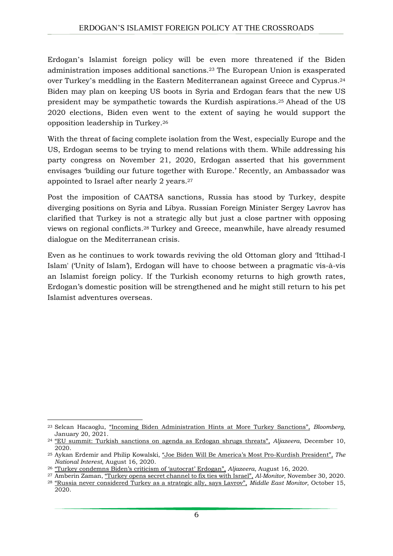Erdogan's Islamist foreign policy will be even more threatened if the Biden administration imposes additional sanctions. <sup>23</sup> The European Union is exasperated over Turkey's meddling in the Eastern Mediterranean against Greece and Cyprus. 24 Biden may plan on keeping US boots in Syria and Erdogan fears that the new US president may be sympathetic towards the Kurdish aspirations. <sup>25</sup> Ahead of the US 2020 elections, Biden even went to the extent of saying he would support the opposition leadership in Turkey.<sup>26</sup>

With the threat of facing complete isolation from the West, especially Europe and the US, Erdogan seems to be trying to mend relations with them. While addressing his party congress on November 21, 2020, Erdogan asserted that his government envisages 'building our future together with Europe.' Recently, an Ambassador was appointed to Israel after nearly 2 years.<sup>27</sup>

Post the imposition of CAATSA sanctions, Russia has stood by Turkey, despite diverging positions on Syria and Libya. Russian Foreign Minister Sergey Lavrov has clarified that Turkey is not a strategic ally but just a close partner with opposing views on regional conflicts.<sup>28</sup> Turkey and Greece, meanwhile, have already resumed dialogue on the Mediterranean crisis.

Even as he continues to work towards reviving the old Ottoman glory and 'Ittihad-I Islam' ('Unity of Islam'), Erdogan will have to choose between a pragmatic vis-à-vis an Islamist foreign policy. If the Turkish economy returns to high growth rates, Erdogan's domestic position will be strengthened and he might still return to his pet Islamist adventures overseas.

<u>.</u>

<sup>23</sup> Selcan Hacaoglu, "Incoming Biden [Administration](https://www.bloomberg.com/news/articles/2021-01-20/incoming-u-s-official-hints-more-turkey-sanctions-are-possible) Hints at More Turkey Sanctions", *Bloomberg*, January 20, 2021.

<sup>24</sup> "EU summit: Turkish [sanctions](https://www.aljazeera.com/news/2020/12/10/eu-summit-turkish-sanctions-on-agenda-as-erdogan-shrugs-threats) on agenda as Erdogan shrugs threats", *Aljazeera*, December 10, 2020.

<sup>25</sup> Aykan Erdemir and Philip Kowalski, "Joe Biden Will Be America's Most [Pro-Kurdish](https://nationalinterest.org/blog/middle-east-watch/joe-biden-will-be-america’s-most-pro-kurdish-president-166909?page=0%2C1) President", *The National Interest*, August 16, 2020.

<sup>26</sup> "Turkey [condemns](https://www.aljazeera.com/news/2020/8/16/turkey-condemns-bidens-criticism-of-autocrat-erdogan) Biden's criticism of 'autocrat' Erdogan", *Aljazeera*, August 16, 2020.

<sup>27</sup> Amberin Zaman, "Turkey opens secret [channel](https://www.al-monitor.com/pulse/originals/2020/11/turkey-ties-israel-biden-trump-s400-saudi-arabia-erdogan.html) to fix ties with Israel", *Al-Monitor*, November 30, 2020. <sup>28</sup> "Russia never [considered](https://www.middleeastmonitor.com/20201015-russia-never-considered-turkey-as-a-strategic-ally-says-lavrov/) Turkey as a strategic ally, says Lavrov", *Middle East Monitor*, October 15, 2020.